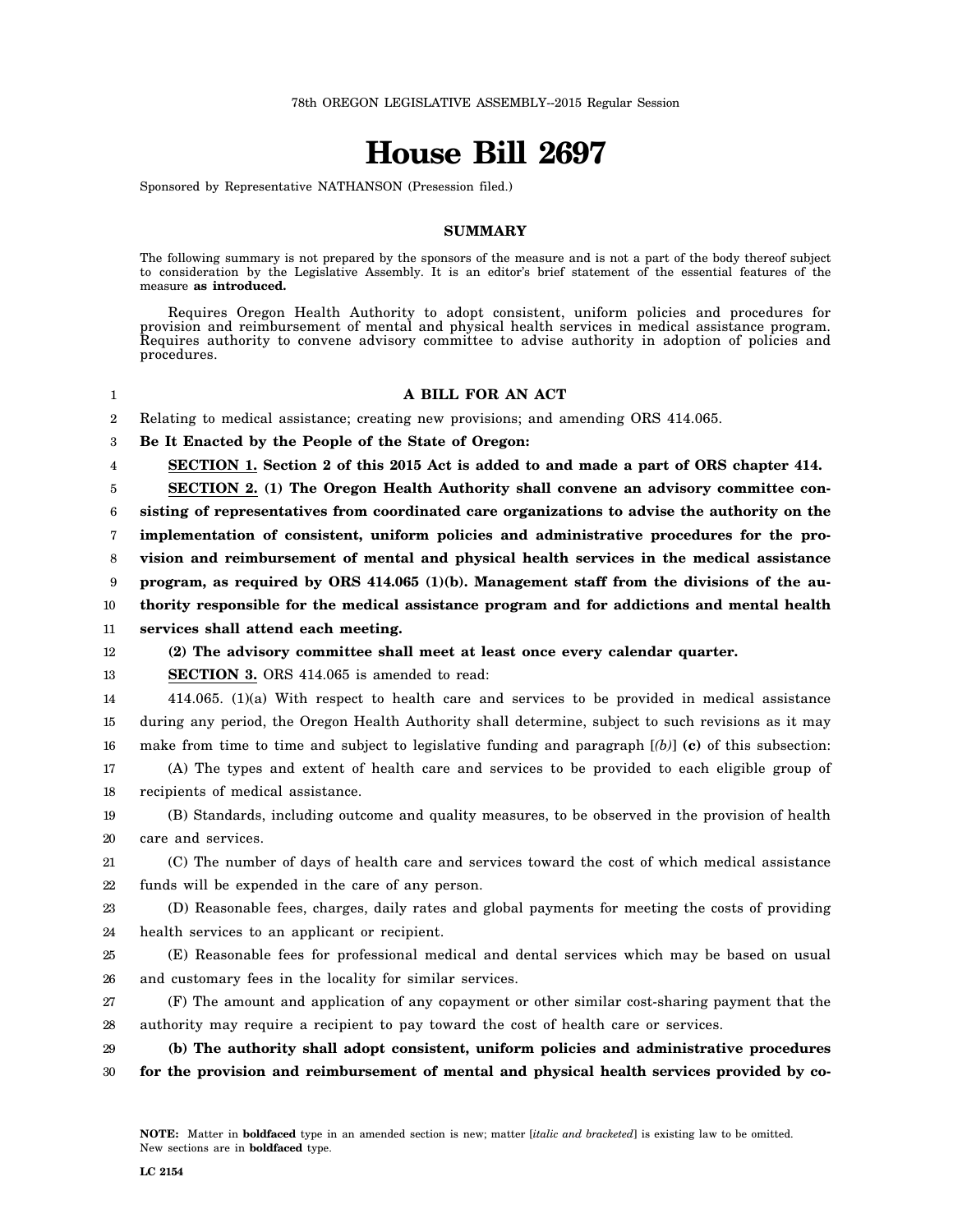## **House Bill 2697**

Sponsored by Representative NATHANSON (Presession filed.)

## **SUMMARY**

The following summary is not prepared by the sponsors of the measure and is not a part of the body thereof subject to consideration by the Legislative Assembly. It is an editor's brief statement of the essential features of the measure **as introduced.**

Requires Oregon Health Authority to adopt consistent, uniform policies and procedures for provision and reimbursement of mental and physical health services in medical assistance program. Requires authority to convene advisory committee to advise authority in adoption of policies and procedures.

## **A BILL FOR AN ACT**

2 Relating to medical assistance; creating new provisions; and amending ORS 414.065.

3 **Be It Enacted by the People of the State of Oregon:**

4 **SECTION 1. Section 2 of this 2015 Act is added to and made a part of ORS chapter 414.**

5 **SECTION 2. (1) The Oregon Health Authority shall convene an advisory committee con-**

6 **sisting of representatives from coordinated care organizations to advise the authority on the**

7 **implementation of consistent, uniform policies and administrative procedures for the pro-**

8 **vision and reimbursement of mental and physical health services in the medical assistance**

9 **program, as required by ORS 414.065 (1)(b). Management staff from the divisions of the au-**

10 **thority responsible for the medical assistance program and for addictions and mental health**

11 **services shall attend each meeting.**

## 12 **(2) The advisory committee shall meet at least once every calendar quarter.**

13 **SECTION 3.** ORS 414.065 is amended to read:

14 15 16 17 414.065. (1)(a) With respect to health care and services to be provided in medical assistance during any period, the Oregon Health Authority shall determine, subject to such revisions as it may make from time to time and subject to legislative funding and paragraph  $[(b)]$  (c) of this subsection: (A) The types and extent of health care and services to be provided to each eligible group of

18 recipients of medical assistance.

19 20 (B) Standards, including outcome and quality measures, to be observed in the provision of health care and services.

21 22 (C) The number of days of health care and services toward the cost of which medical assistance funds will be expended in the care of any person.

23 24 (D) Reasonable fees, charges, daily rates and global payments for meeting the costs of providing health services to an applicant or recipient.

25 26 (E) Reasonable fees for professional medical and dental services which may be based on usual and customary fees in the locality for similar services.

27 28 (F) The amount and application of any copayment or other similar cost-sharing payment that the authority may require a recipient to pay toward the cost of health care or services.

29

1

- **(b) The authority shall adopt consistent, uniform policies and administrative procedures**
- 30 **for the provision and reimbursement of mental and physical health services provided by co-**